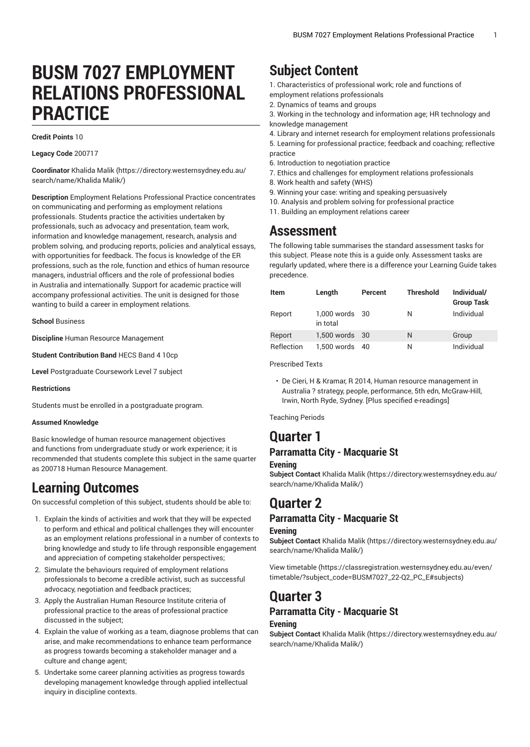# **BUSM 7027 EMPLOYMENT RELATIONS PROFESSIONAL PRACTICE**

#### **Credit Points** 10

**Legacy Code** 200717

**Coordinator** [Khalida Malik](https://directory.westernsydney.edu.au/search/name/Khalida Malik/) ([https://directory.westernsydney.edu.au/](https://directory.westernsydney.edu.au/search/name/Khalida Malik/) [search/name/Khalida](https://directory.westernsydney.edu.au/search/name/Khalida Malik/) Malik/)

**Description** Employment Relations Professional Practice concentrates on communicating and performing as employment relations professionals. Students practice the activities undertaken by professionals, such as advocacy and presentation, team work, information and knowledge management, research, analysis and problem solving, and producing reports, policies and analytical essays, with opportunities for feedback. The focus is knowledge of the ER professions, such as the role, function and ethics of human resource managers, industrial officers and the role of professional bodies in Australia and internationally. Support for academic practice will accompany professional activities. The unit is designed for those wanting to build a career in employment relations.

**School** Business

**Discipline** Human Resource Management

**Student Contribution Band** HECS Band 4 10cp

**Level** Postgraduate Coursework Level 7 subject

#### **Restrictions**

Students must be enrolled in a postgraduate program.

### **Assumed Knowledge**

Basic knowledge of human resource management objectives and functions from undergraduate study or work experience; it is recommended that students complete this subject in the same quarter as 200718 Human Resource Management.

## **Learning Outcomes**

On successful completion of this subject, students should be able to:

- 1. Explain the kinds of activities and work that they will be expected to perform and ethical and political challenges they will encounter as an employment relations professional in a number of contexts to bring knowledge and study to life through responsible engagement and appreciation of competing stakeholder perspectives;
- 2. Simulate the behaviours required of employment relations professionals to become a credible activist, such as successful advocacy, negotiation and feedback practices;
- 3. Apply the Australian Human Resource Institute criteria of professional practice to the areas of professional practice discussed in the subject;
- 4. Explain the value of working as a team, diagnose problems that can arise, and make recommendations to enhance team performance as progress towards becoming a stakeholder manager and a culture and change agent;
- 5. Undertake some career planning activities as progress towards developing management knowledge through applied intellectual inquiry in discipline contexts.

# **Subject Content**

- 1. Characteristics of professional work; role and functions of
- employment relations professionals
- 2. Dynamics of teams and groups
- 3. Working in the technology and information age; HR technology and knowledge management
- 4. Library and internet research for employment relations professionals
- 5. Learning for professional practice; feedback and coaching; reflective practice
- 6. Introduction to negotiation practice
- 7. Ethics and challenges for employment relations professionals
- 8. Work health and safety (WHS)
- 9. Winning your case: writing and speaking persuasively
- 10. Analysis and problem solving for professional practice
- 11. Building an employment relations career

## **Assessment**

The following table summarises the standard assessment tasks for this subject. Please note this is a guide only. Assessment tasks are regularly updated, where there is a difference your Learning Guide takes precedence.

| Item              | Length                     | Percent | <b>Threshold</b> | Individual/<br><b>Group Task</b> |
|-------------------|----------------------------|---------|------------------|----------------------------------|
| Report            | 1,000 words 30<br>in total |         | Ν                | Individual                       |
| Report            | 1,500 words 30             |         | N                | Group                            |
| <b>Reflection</b> | 1,500 words 40             |         | Ν                | Individual                       |

Prescribed Texts

• De Cieri, H & Kramar, R 2014, Human resource management in Australia ? strategy, people, performance, 5th edn, McGraw-Hill, Irwin, North Ryde, Sydney. [Plus specified e-readings]

Teaching Periods

## **Quarter 1**

### **Parramatta City - Macquarie St Evening**

**Subject Contact** [Khalida Malik](https://directory.westernsydney.edu.au/search/name/Khalida Malik/) ([https://directory.westernsydney.edu.au/](https://directory.westernsydney.edu.au/search/name/Khalida Malik/) [search/name/Khalida](https://directory.westernsydney.edu.au/search/name/Khalida Malik/) Malik/)

# **Quarter 2**

## **Parramatta City - Macquarie St**

### **Evening**

**Subject Contact** [Khalida Malik](https://directory.westernsydney.edu.au/search/name/Khalida Malik/) ([https://directory.westernsydney.edu.au/](https://directory.westernsydney.edu.au/search/name/Khalida Malik/) [search/name/Khalida](https://directory.westernsydney.edu.au/search/name/Khalida Malik/) Malik/)

[View timetable](https://classregistration.westernsydney.edu.au/even/timetable/?subject_code=BUSM7027_22-Q2_PC_E#subjects) [\(https://classregistration.westernsydney.edu.au/even/](https://classregistration.westernsydney.edu.au/even/timetable/?subject_code=BUSM7027_22-Q2_PC_E#subjects) [timetable/?subject\\_code=BUSM7027\\_22-Q2\\_PC\\_E#subjects\)](https://classregistration.westernsydney.edu.au/even/timetable/?subject_code=BUSM7027_22-Q2_PC_E#subjects)

## **Quarter 3 Parramatta City - Macquarie St Evening**

**Subject Contact** [Khalida Malik](https://directory.westernsydney.edu.au/search/name/Khalida Malik/) ([https://directory.westernsydney.edu.au/](https://directory.westernsydney.edu.au/search/name/Khalida Malik/) [search/name/Khalida](https://directory.westernsydney.edu.au/search/name/Khalida Malik/) Malik/)